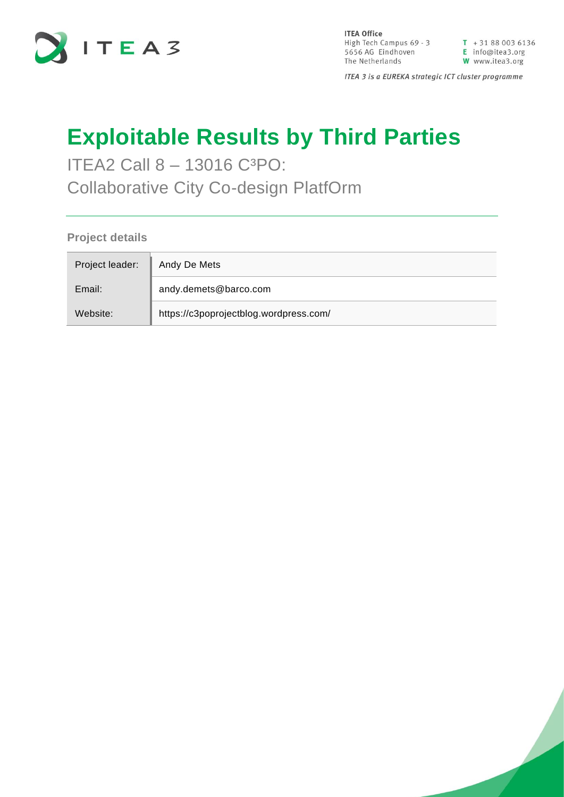

**ITEA Office** High Tech Campus  $69 - 3$ <br>  $\overline{1} + 31880036136$ <br>  $\overline{5656}$  AG Eindhoven<br>  $\overline{1}$  Info@itea3.org<br>
The Netherlands<br>  $\overline{1}$  W www.itea3.org The Netherlands

W www.itea3.org

ITEA 3 is a EUREKA strategic ICT cluster programme

# **Exploitable Results by Third Parties**

ITEA2 Call 8 - 13016 C<sup>3</sup>PO: Collaborative City Co-design PlatfOrm

**Project details**

| Project leader: | Andy De Mets                           |
|-----------------|----------------------------------------|
| Email:          | andy.demets@barco.com                  |
| Website:        | https://c3poprojectblog.wordpress.com/ |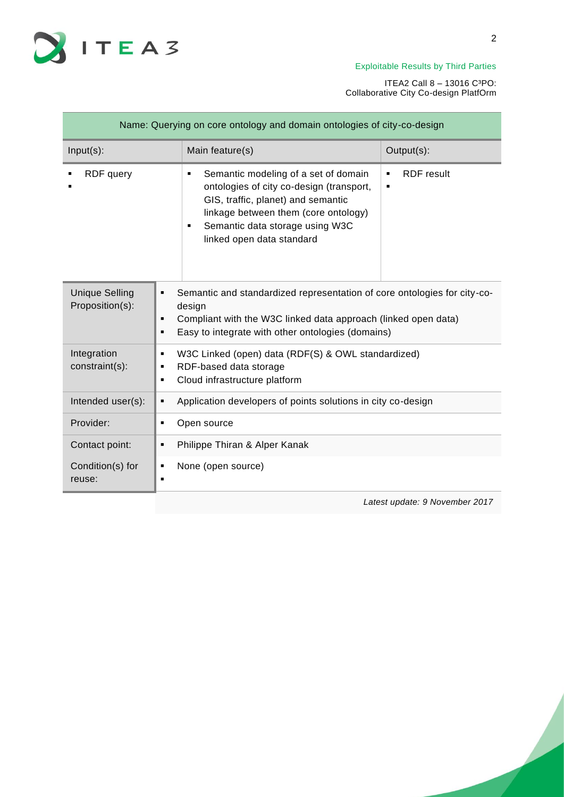

ITEA2 Call 8 – 13016 C³PO: Collaborative City Co-design PlatfOrm

| Name: Querying on core ontology and domain ontologies of city-co-design |                                                                                                                                                                                                                                          |                                                                                                                                                                                                 |  |
|-------------------------------------------------------------------------|------------------------------------------------------------------------------------------------------------------------------------------------------------------------------------------------------------------------------------------|-------------------------------------------------------------------------------------------------------------------------------------------------------------------------------------------------|--|
| $Input(s)$ :                                                            | Main feature(s)                                                                                                                                                                                                                          | Output(s):                                                                                                                                                                                      |  |
| RDF query                                                               | Semantic modeling of a set of domain<br>٠<br>ontologies of city co-design (transport,<br>GIS, traffic, planet) and semantic<br>linkage between them (core ontology)<br>Semantic data storage using W3C<br>٠<br>linked open data standard | <b>RDF</b> result<br>٠<br>٠                                                                                                                                                                     |  |
| <b>Unique Selling</b><br>Proposition(s):                                | п<br>design<br>٠<br>п                                                                                                                                                                                                                    | Semantic and standardized representation of core ontologies for city-co-<br>Compliant with the W3C linked data approach (linked open data)<br>Easy to integrate with other ontologies (domains) |  |
| Integration<br>constraint(s):                                           | W3C Linked (open) data (RDF(S) & OWL standardized)<br>٠<br>RDF-based data storage<br>٠<br>Cloud infrastructure platform<br>٠                                                                                                             |                                                                                                                                                                                                 |  |
| Intended user(s):                                                       | Application developers of points solutions in city co-design<br>٠                                                                                                                                                                        |                                                                                                                                                                                                 |  |
| Provider:                                                               | Open source<br>٠                                                                                                                                                                                                                         |                                                                                                                                                                                                 |  |
| Contact point:                                                          | Philippe Thiran & Alper Kanak<br>п                                                                                                                                                                                                       |                                                                                                                                                                                                 |  |
| Condition(s) for<br>reuse:                                              | None (open source)<br>٠<br>٠                                                                                                                                                                                                             |                                                                                                                                                                                                 |  |
|                                                                         |                                                                                                                                                                                                                                          | Latest update: 9 November 2017                                                                                                                                                                  |  |

2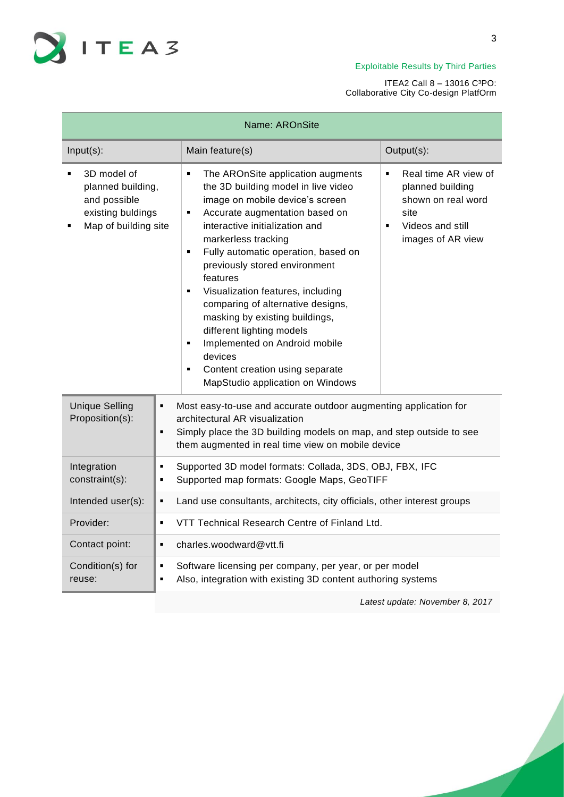

#### ITEA2 Call 8 – 13016 C³PO: Collaborative City Co-design PlatfOrm

| Name: AROnSite                                                                                |                                                                                                                                                                                                                                                                                                                                                                                                                                                                                                                                                                                                                                          |                                                                                                                                                     |  |
|-----------------------------------------------------------------------------------------------|------------------------------------------------------------------------------------------------------------------------------------------------------------------------------------------------------------------------------------------------------------------------------------------------------------------------------------------------------------------------------------------------------------------------------------------------------------------------------------------------------------------------------------------------------------------------------------------------------------------------------------------|-----------------------------------------------------------------------------------------------------------------------------------------------------|--|
| Input(s):                                                                                     | Main feature(s)                                                                                                                                                                                                                                                                                                                                                                                                                                                                                                                                                                                                                          | Output(s):                                                                                                                                          |  |
| 3D model of<br>planned building,<br>and possible<br>existing buldings<br>Map of building site | The AROnSite application augments<br>$\blacksquare$<br>the 3D building model in live video<br>image on mobile device's screen<br>Accurate augmentation based on<br>٠<br>interactive initialization and<br>markerless tracking<br>Fully automatic operation, based on<br>$\blacksquare$<br>previously stored environment<br>features<br>Visualization features, including<br>$\blacksquare$<br>comparing of alternative designs,<br>masking by existing buildings,<br>different lighting models<br>Implemented on Android mobile<br>٠<br>devices<br>Content creation using separate<br>$\blacksquare$<br>MapStudio application on Windows | Real time AR view of<br>$\blacksquare$<br>planned building<br>shown on real word<br>site<br>Videos and still<br>$\blacksquare$<br>images of AR view |  |
| <b>Unique Selling</b><br>Proposition(s):                                                      | Most easy-to-use and accurate outdoor augmenting application for<br>Ξ<br>architectural AR visualization<br>Simply place the 3D building models on map, and step outside to see<br>$\blacksquare$<br>them augmented in real time view on mobile device                                                                                                                                                                                                                                                                                                                                                                                    |                                                                                                                                                     |  |
| Integration<br>constraint(s):                                                                 | Supported 3D model formats: Collada, 3DS, OBJ, FBX, IFC<br>٠<br>Supported map formats: Google Maps, GeoTIFF<br>٠                                                                                                                                                                                                                                                                                                                                                                                                                                                                                                                         |                                                                                                                                                     |  |
| Intended user(s):                                                                             | Land use consultants, architects, city officials, other interest groups<br>٠                                                                                                                                                                                                                                                                                                                                                                                                                                                                                                                                                             |                                                                                                                                                     |  |
| Provider:                                                                                     | VTT Technical Research Centre of Finland Ltd.<br>×,                                                                                                                                                                                                                                                                                                                                                                                                                                                                                                                                                                                      |                                                                                                                                                     |  |
| Contact point:                                                                                | charles.woodward@vtt.fi<br>×,                                                                                                                                                                                                                                                                                                                                                                                                                                                                                                                                                                                                            |                                                                                                                                                     |  |
| Condition(s) for<br>reuse:                                                                    | Software licensing per company, per year, or per model<br>٠<br>Also, integration with existing 3D content authoring systems<br>g,                                                                                                                                                                                                                                                                                                                                                                                                                                                                                                        |                                                                                                                                                     |  |

*Latest update: November 8, 2017*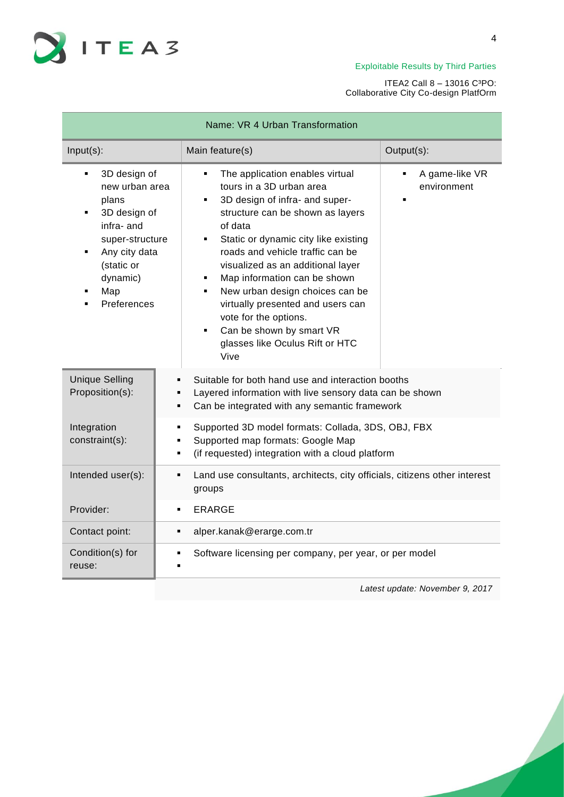

| Name: VR 4 Urban Transformation                                                                                                                                                            |                                                                                                                                                                                                                                                                                                                                                                                                                                                                                                                                            |                                    |  |
|--------------------------------------------------------------------------------------------------------------------------------------------------------------------------------------------|--------------------------------------------------------------------------------------------------------------------------------------------------------------------------------------------------------------------------------------------------------------------------------------------------------------------------------------------------------------------------------------------------------------------------------------------------------------------------------------------------------------------------------------------|------------------------------------|--|
| $Input(s)$ :                                                                                                                                                                               | Main feature(s)                                                                                                                                                                                                                                                                                                                                                                                                                                                                                                                            | Output(s):                         |  |
| 3D design of<br>٠<br>new urban area<br>plans<br>3D design of<br>٠<br>infra- and<br>super-structure<br>Any city data<br>$\blacksquare$<br>(static or<br>dynamic)<br>Map<br>٠<br>Preferences | The application enables virtual<br>٠<br>tours in a 3D urban area<br>3D design of infra- and super-<br>$\blacksquare$<br>structure can be shown as layers<br>of data<br>Static or dynamic city like existing<br>$\blacksquare$<br>roads and vehicle traffic can be<br>visualized as an additional layer<br>Map information can be shown<br>٠<br>New urban design choices can be<br>٠<br>virtually presented and users can<br>vote for the options.<br>Can be shown by smart VR<br>$\blacksquare$<br>glasses like Oculus Rift or HTC<br>Vive | A game-like VR<br>٠<br>environment |  |
| <b>Unique Selling</b><br>Proposition(s):                                                                                                                                                   | Suitable for both hand use and interaction booths<br>Layered information with live sensory data can be shown<br>Can be integrated with any semantic framework<br>٠                                                                                                                                                                                                                                                                                                                                                                         |                                    |  |
| Integration<br>constraint(s):                                                                                                                                                              | Supported 3D model formats: Collada, 3DS, OBJ, FBX<br>٠<br>Supported map formats: Google Map<br>(if requested) integration with a cloud platform                                                                                                                                                                                                                                                                                                                                                                                           |                                    |  |
| Intended user(s):                                                                                                                                                                          | Land use consultants, architects, city officials, citizens other interest<br>٠<br>groups                                                                                                                                                                                                                                                                                                                                                                                                                                                   |                                    |  |
| Provider:                                                                                                                                                                                  | ERARGE<br>$\blacksquare$                                                                                                                                                                                                                                                                                                                                                                                                                                                                                                                   |                                    |  |
| Contact point:                                                                                                                                                                             | alper.kanak@erarge.com.tr<br>٠                                                                                                                                                                                                                                                                                                                                                                                                                                                                                                             |                                    |  |
| Condition(s) for<br>reuse:                                                                                                                                                                 | Software licensing per company, per year, or per model                                                                                                                                                                                                                                                                                                                                                                                                                                                                                     |                                    |  |
|                                                                                                                                                                                            |                                                                                                                                                                                                                                                                                                                                                                                                                                                                                                                                            | Latest update: November 9, 2017    |  |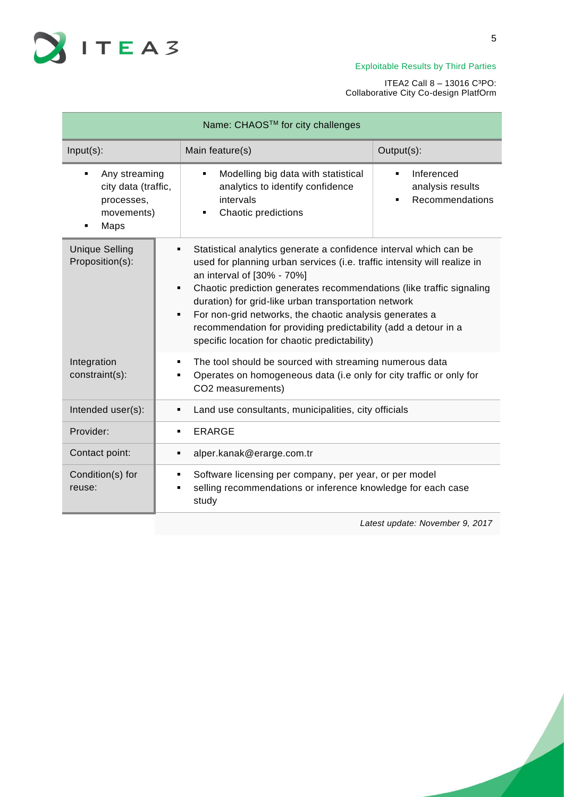

| Name: CHAOS™ for city challenges         |                                                                                                                                                                                                                                                                 |                                                                                                                                                                                                                                                                                                                                                                                                                                                             |  |
|------------------------------------------|-----------------------------------------------------------------------------------------------------------------------------------------------------------------------------------------------------------------------------------------------------------------|-------------------------------------------------------------------------------------------------------------------------------------------------------------------------------------------------------------------------------------------------------------------------------------------------------------------------------------------------------------------------------------------------------------------------------------------------------------|--|
| $Input(s)$ :                             | Main feature(s)                                                                                                                                                                                                                                                 | Output(s):                                                                                                                                                                                                                                                                                                                                                                                                                                                  |  |
| processes,<br>Maps                       | Inferenced<br>Any streaming<br>Modelling big data with statistical<br>$\blacksquare$<br>$\blacksquare$<br>city data (traffic,<br>analytics to identify confidence<br>analysis results<br>intervals<br>Recommendations<br>Chaotic predictions<br>movements)<br>٠ |                                                                                                                                                                                                                                                                                                                                                                                                                                                             |  |
| <b>Unique Selling</b><br>Proposition(s): | an interval of [30% - 70%]<br>٠<br>$\blacksquare$                                                                                                                                                                                                               | Statistical analytics generate a confidence interval which can be<br>used for planning urban services (i.e. traffic intensity will realize in<br>Chaotic prediction generates recommendations (like traffic signaling<br>duration) for grid-like urban transportation network<br>For non-grid networks, the chaotic analysis generates a<br>recommendation for providing predictability (add a detour in a<br>specific location for chaotic predictability) |  |
| Integration<br>constraint(s):            | ٠<br>CO2 measurements)                                                                                                                                                                                                                                          | The tool should be sourced with streaming numerous data<br>Operates on homogeneous data (i.e only for city traffic or only for                                                                                                                                                                                                                                                                                                                              |  |
| Intended user(s):                        | Land use consultants, municipalities, city officials<br>٠                                                                                                                                                                                                       |                                                                                                                                                                                                                                                                                                                                                                                                                                                             |  |
| Provider:                                | <b>ERARGE</b><br>٠                                                                                                                                                                                                                                              |                                                                                                                                                                                                                                                                                                                                                                                                                                                             |  |
| Contact point:                           | alper.kanak@erarge.com.tr<br>$\blacksquare$                                                                                                                                                                                                                     |                                                                                                                                                                                                                                                                                                                                                                                                                                                             |  |
| Condition(s) for<br>reuse:               | ٠<br>study                                                                                                                                                                                                                                                      | Software licensing per company, per year, or per model<br>selling recommendations or inference knowledge for each case                                                                                                                                                                                                                                                                                                                                      |  |
|                                          |                                                                                                                                                                                                                                                                 | Latest update: November 9, 2017                                                                                                                                                                                                                                                                                                                                                                                                                             |  |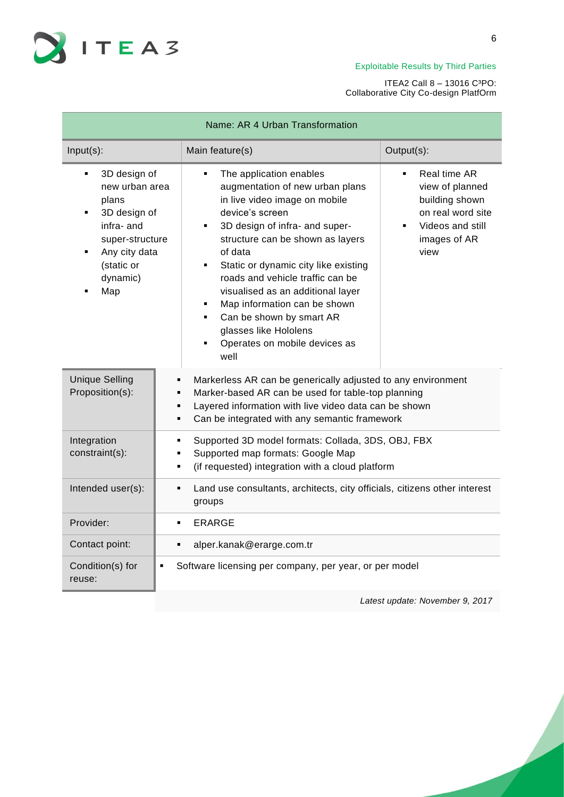

ITEA2 Call 8 – 13016 C³PO: Collaborative City Co-design PlatfOrm

| Name: AR 4 Urban Transformation                                                                                                                                   |                                                                                                                                                                                                                                                                                                                                                                                                                                                                                            |                                                                                                                                      |  |
|-------------------------------------------------------------------------------------------------------------------------------------------------------------------|--------------------------------------------------------------------------------------------------------------------------------------------------------------------------------------------------------------------------------------------------------------------------------------------------------------------------------------------------------------------------------------------------------------------------------------------------------------------------------------------|--------------------------------------------------------------------------------------------------------------------------------------|--|
| Input(s):                                                                                                                                                         | Main feature(s)                                                                                                                                                                                                                                                                                                                                                                                                                                                                            | Output(s):                                                                                                                           |  |
| 3D design of<br>$\blacksquare$<br>new urban area<br>plans<br>3D design of<br>٠<br>infra- and<br>super-structure<br>Any city data<br>(static or<br>dynamic)<br>Map | The application enables<br>٠<br>augmentation of new urban plans<br>in live video image on mobile<br>device's screen<br>3D design of infra- and super-<br>٠<br>structure can be shown as layers<br>of data<br>Static or dynamic city like existing<br>٠.<br>roads and vehicle traffic can be<br>visualised as an additional layer<br>Map information can be shown<br>٠<br>Can be shown by smart AR<br>$\blacksquare$<br>glasses like Hololens<br>Operates on mobile devices as<br>٠<br>well | Real time AR<br>view of planned<br>building shown<br>on real word site<br>Videos and still<br>$\blacksquare$<br>images of AR<br>view |  |
| <b>Unique Selling</b><br>Proposition(s):                                                                                                                          | Markerless AR can be generically adjusted to any environment<br>п<br>Marker-based AR can be used for table-top planning<br>п<br>Layered information with live video data can be shown<br>$\blacksquare$<br>Can be integrated with any semantic framework                                                                                                                                                                                                                                   |                                                                                                                                      |  |
| Integration<br>constraint(s):                                                                                                                                     | Supported 3D model formats: Collada, 3DS, OBJ, FBX<br>٠<br>Supported map formats: Google Map<br>$\blacksquare$<br>(if requested) integration with a cloud platform<br>п                                                                                                                                                                                                                                                                                                                    |                                                                                                                                      |  |
| Intended user(s):                                                                                                                                                 | Land use consultants, architects, city officials, citizens other interest<br>groups                                                                                                                                                                                                                                                                                                                                                                                                        |                                                                                                                                      |  |
| Provider:                                                                                                                                                         | ERARGE                                                                                                                                                                                                                                                                                                                                                                                                                                                                                     |                                                                                                                                      |  |
| Contact point:                                                                                                                                                    | alper.kanak@erarge.com.tr<br>$\blacksquare$                                                                                                                                                                                                                                                                                                                                                                                                                                                |                                                                                                                                      |  |
| Condition(s) for<br>٠<br>reuse:                                                                                                                                   | Software licensing per company, per year, or per model                                                                                                                                                                                                                                                                                                                                                                                                                                     |                                                                                                                                      |  |

*Latest update: November 9, 2017*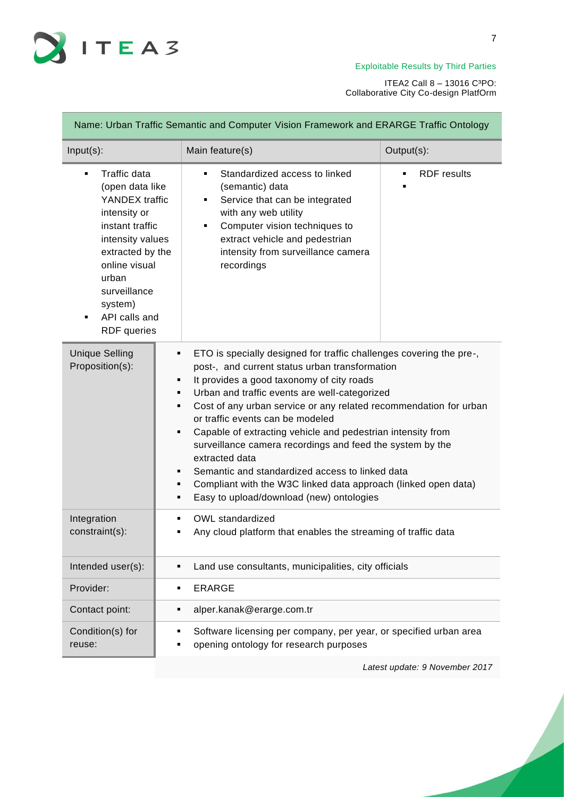

| Name: Urban Traffic Semantic and Computer Vision Framework and ERARGE Traffic Ontology                                                                                                                                        |                                                                                                                                                                                                                                                               |                                                                                                                                                                                                                                                                                                                                                                                                                                                                                                                                                                                       |  |
|-------------------------------------------------------------------------------------------------------------------------------------------------------------------------------------------------------------------------------|---------------------------------------------------------------------------------------------------------------------------------------------------------------------------------------------------------------------------------------------------------------|---------------------------------------------------------------------------------------------------------------------------------------------------------------------------------------------------------------------------------------------------------------------------------------------------------------------------------------------------------------------------------------------------------------------------------------------------------------------------------------------------------------------------------------------------------------------------------------|--|
| $Input(s)$ :                                                                                                                                                                                                                  | Main feature(s)                                                                                                                                                                                                                                               | Output(s):                                                                                                                                                                                                                                                                                                                                                                                                                                                                                                                                                                            |  |
| Traffic data<br>٠<br>(open data like<br>YANDEX traffic<br>intensity or<br>instant traffic<br>intensity values<br>extracted by the<br>online visual<br>urban<br>surveillance<br>system)<br>API calls and<br><b>RDF</b> queries | Standardized access to linked<br>$\blacksquare$<br>(semantic) data<br>Service that can be integrated<br>٠<br>with any web utility<br>Computer vision techniques to<br>٠<br>extract vehicle and pedestrian<br>intensity from surveillance camera<br>recordings | <b>RDF</b> results                                                                                                                                                                                                                                                                                                                                                                                                                                                                                                                                                                    |  |
| <b>Unique Selling</b><br>Proposition(s):                                                                                                                                                                                      | ٠<br>٠<br>٠<br>٠<br>or traffic events can be modeled<br>٠<br>extracted data<br>٠<br>٠<br>٠                                                                                                                                                                    | ETO is specially designed for traffic challenges covering the pre-,<br>post-, and current status urban transformation<br>It provides a good taxonomy of city roads<br>Urban and traffic events are well-categorized<br>Cost of any urban service or any related recommendation for urban<br>Capable of extracting vehicle and pedestrian intensity from<br>surveillance camera recordings and feed the system by the<br>Semantic and standardized access to linked data<br>Compliant with the W3C linked data approach (linked open data)<br>Easy to upload/download (new) ontologies |  |
| Integration<br>constraint(s):                                                                                                                                                                                                 | OWL standardized<br>٠                                                                                                                                                                                                                                         | Any cloud platform that enables the streaming of traffic data                                                                                                                                                                                                                                                                                                                                                                                                                                                                                                                         |  |
| Intended user(s):                                                                                                                                                                                                             |                                                                                                                                                                                                                                                               | Land use consultants, municipalities, city officials                                                                                                                                                                                                                                                                                                                                                                                                                                                                                                                                  |  |
| Provider:                                                                                                                                                                                                                     | <b>ERARGE</b><br>٠                                                                                                                                                                                                                                            |                                                                                                                                                                                                                                                                                                                                                                                                                                                                                                                                                                                       |  |
| Contact point:                                                                                                                                                                                                                | alper.kanak@erarge.com.tr                                                                                                                                                                                                                                     |                                                                                                                                                                                                                                                                                                                                                                                                                                                                                                                                                                                       |  |
| Condition(s) for<br>reuse:                                                                                                                                                                                                    | Software licensing per company, per year, or specified urban area<br>opening ontology for research purposes                                                                                                                                                   |                                                                                                                                                                                                                                                                                                                                                                                                                                                                                                                                                                                       |  |
|                                                                                                                                                                                                                               |                                                                                                                                                                                                                                                               | Latest update: 9 November 2017                                                                                                                                                                                                                                                                                                                                                                                                                                                                                                                                                        |  |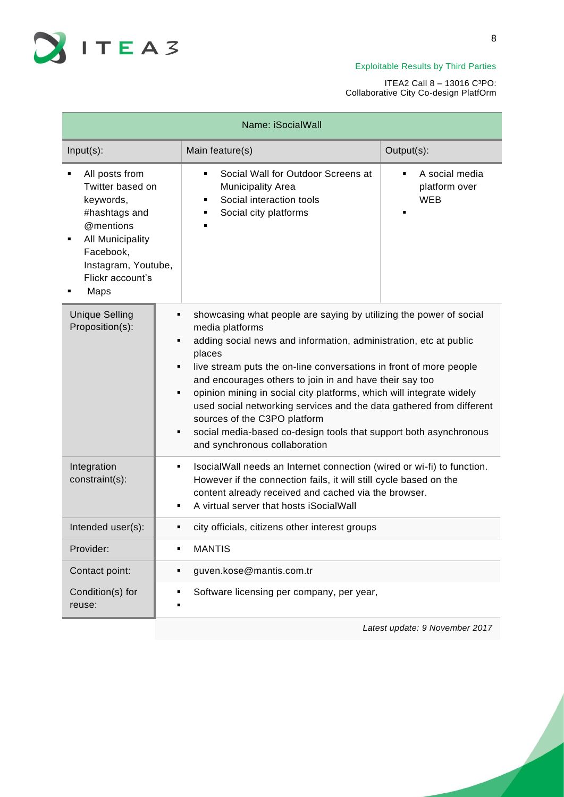

| Name: iSocialWall                                                                                                                                                 |                                                                                                                                                                                                                                                                                                                                                                                                                                                                                                                                                                                                            |                                                                 |  |
|-------------------------------------------------------------------------------------------------------------------------------------------------------------------|------------------------------------------------------------------------------------------------------------------------------------------------------------------------------------------------------------------------------------------------------------------------------------------------------------------------------------------------------------------------------------------------------------------------------------------------------------------------------------------------------------------------------------------------------------------------------------------------------------|-----------------------------------------------------------------|--|
| $Input(s)$ :                                                                                                                                                      | Main feature(s)                                                                                                                                                                                                                                                                                                                                                                                                                                                                                                                                                                                            | Output(s):                                                      |  |
| All posts from<br>Twitter based on<br>keywords,<br>#hashtags and<br>@mentions<br>All Municipality<br>Facebook,<br>Instagram, Youtube,<br>Flickr account's<br>Maps | Social Wall for Outdoor Screens at<br>$\blacksquare$<br><b>Municipality Area</b><br>Social interaction tools<br>Social city platforms                                                                                                                                                                                                                                                                                                                                                                                                                                                                      | A social media<br>$\blacksquare$<br>platform over<br><b>WEB</b> |  |
| <b>Unique Selling</b><br>Proposition(s):                                                                                                                          | showcasing what people are saying by utilizing the power of social<br>media platforms<br>adding social news and information, administration, etc at public<br>places<br>live stream puts the on-line conversations in front of more people<br>٠<br>and encourages others to join in and have their say too<br>opinion mining in social city platforms, which will integrate widely<br>٠<br>used social networking services and the data gathered from different<br>sources of the C3PO platform<br>social media-based co-design tools that support both asynchronous<br>٠<br>and synchronous collaboration |                                                                 |  |
| Integration<br>constraint(s):                                                                                                                                     | IsocialWall needs an Internet connection (wired or wi-fi) to function.<br>٠<br>However if the connection fails, it will still cycle based on the<br>content already received and cached via the browser.<br>A virtual server that hosts iSocialWall<br>٠                                                                                                                                                                                                                                                                                                                                                   |                                                                 |  |
| Intended user(s):                                                                                                                                                 | city officials, citizens other interest groups<br>٠                                                                                                                                                                                                                                                                                                                                                                                                                                                                                                                                                        |                                                                 |  |
| Provider:                                                                                                                                                         | <b>MANTIS</b><br>٠                                                                                                                                                                                                                                                                                                                                                                                                                                                                                                                                                                                         |                                                                 |  |
| Contact point:                                                                                                                                                    | guven.kose@mantis.com.tr<br>٠                                                                                                                                                                                                                                                                                                                                                                                                                                                                                                                                                                              |                                                                 |  |
| Condition(s) for<br>reuse:                                                                                                                                        | Software licensing per company, per year,<br>٠<br>п                                                                                                                                                                                                                                                                                                                                                                                                                                                                                                                                                        |                                                                 |  |
|                                                                                                                                                                   |                                                                                                                                                                                                                                                                                                                                                                                                                                                                                                                                                                                                            | Latest update: 9 November 2017                                  |  |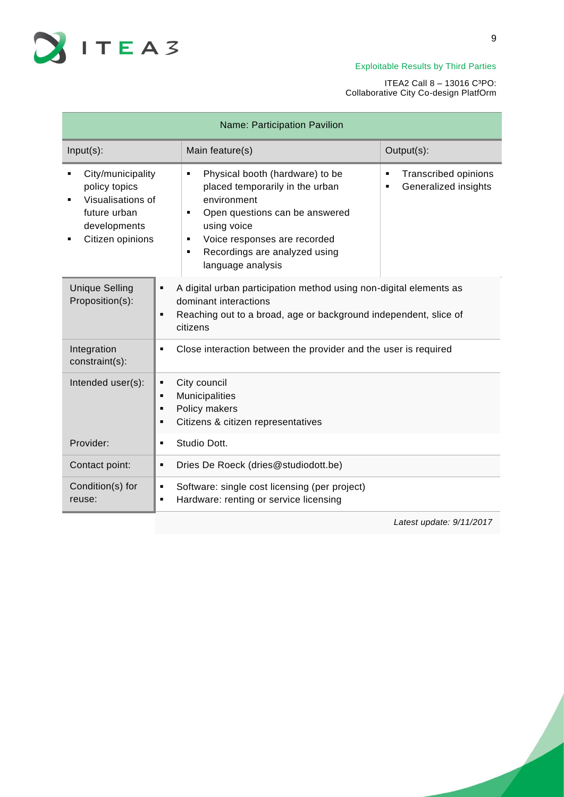

## ITEA2 Call 8 – 13016 C³PO: Collaborative City Co-design PlatfOrm

| Name: Participation Pavilion                                                                                |                                                                                                                                                                                                                                                                        |                                                          |  |
|-------------------------------------------------------------------------------------------------------------|------------------------------------------------------------------------------------------------------------------------------------------------------------------------------------------------------------------------------------------------------------------------|----------------------------------------------------------|--|
| $Input(s)$ :                                                                                                | Main feature(s)                                                                                                                                                                                                                                                        | Output(s):                                               |  |
| City/municipality<br>policy topics<br>Visualisations of<br>future urban<br>developments<br>Citizen opinions | Physical booth (hardware) to be<br>٠<br>placed temporarily in the urban<br>environment<br>Open questions can be answered<br>$\blacksquare$<br>using voice<br>Voice responses are recorded<br>٠<br>Recordings are analyzed using<br>$\blacksquare$<br>language analysis | <b>Transcribed opinions</b><br>٠<br>Generalized insights |  |
| <b>Unique Selling</b><br>Proposition(s):                                                                    | A digital urban participation method using non-digital elements as<br>٠<br>dominant interactions<br>Reaching out to a broad, age or background independent, slice of<br>٠<br>citizens                                                                                  |                                                          |  |
| Integration<br>٠<br>constraint(s):                                                                          | Close interaction between the provider and the user is required                                                                                                                                                                                                        |                                                          |  |
| Intended user(s):<br>٠<br>٠<br>٠                                                                            | City council<br>Municipalities<br>Policy makers<br>Citizens & citizen representatives                                                                                                                                                                                  |                                                          |  |
| Provider:<br>٠                                                                                              | Studio Dott.                                                                                                                                                                                                                                                           |                                                          |  |
| Contact point:<br>٠                                                                                         | Dries De Roeck (dries@studiodott.be)                                                                                                                                                                                                                                   |                                                          |  |
| Condition(s) for<br>٠<br>reuse:<br>٠                                                                        | Software: single cost licensing (per project)<br>Hardware: renting or service licensing                                                                                                                                                                                |                                                          |  |

*Latest update: 9/11/2017*